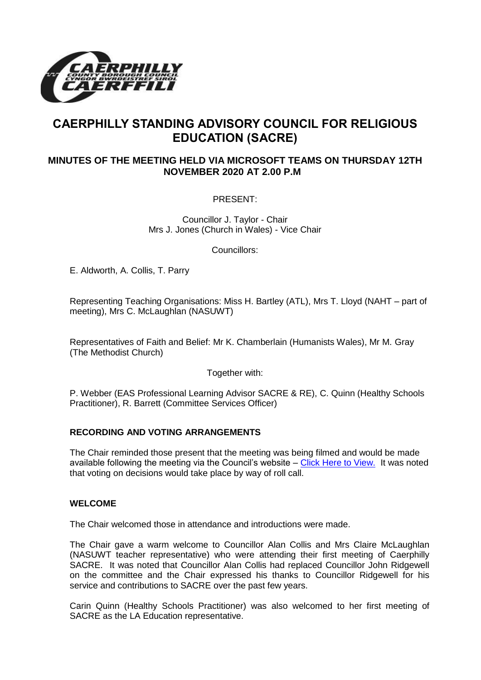

# **CAERPHILLY STANDING ADVISORY COUNCIL FOR RELIGIOUS EDUCATION (SACRE)**

# **MINUTES OF THE MEETING HELD VIA MICROSOFT TEAMS ON THURSDAY 12TH NOVEMBER 2020 AT 2.00 P.M**

PRESENT:

Councillor J. Taylor - Chair Mrs J. Jones (Church in Wales) - Vice Chair

Councillors:

E. Aldworth, A. Collis, T. Parry

Representing Teaching Organisations: Miss H. Bartley (ATL), Mrs T. Lloyd (NAHT – part of meeting), Mrs C. McLaughlan (NASUWT)

Representatives of Faith and Belief: Mr K. Chamberlain (Humanists Wales), Mr M. Gray (The Methodist Church)

Together with:

P. Webber (EAS Professional Learning Advisor SACRE & RE), C. Quinn (Healthy Schools Practitioner), R. Barrett (Committee Services Officer)

# **RECORDING AND VOTING ARRANGEMENTS**

The Chair reminded those present that the meeting was being filmed and would be made available following the meeting via the Council's website - [Click Here to View.](https://www.youtube.com/watch?v=XseWj8GzymI&feature=youtu.be) It was noted that voting on decisions would take place by way of roll call.

# **WELCOME**

The Chair welcomed those in attendance and introductions were made.

The Chair gave a warm welcome to Councillor Alan Collis and Mrs Claire McLaughlan (NASUWT teacher representative) who were attending their first meeting of Caerphilly SACRE. It was noted that Councillor Alan Collis had replaced Councillor John Ridgewell on the committee and the Chair expressed his thanks to Councillor Ridgewell for his service and contributions to SACRE over the past few years.

Carin Quinn (Healthy Schools Practitioner) was also welcomed to her first meeting of SACRE as the LA Education representative.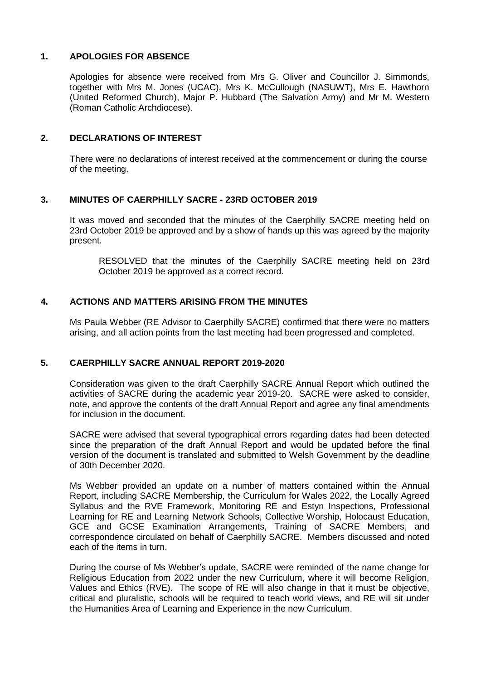# **1. APOLOGIES FOR ABSENCE**

Apologies for absence were received from Mrs G. Oliver and Councillor J. Simmonds, together with Mrs M. Jones (UCAC), Mrs K. McCullough (NASUWT), Mrs E. Hawthorn (United Reformed Church), Major P. Hubbard (The Salvation Army) and Mr M. Western (Roman Catholic Archdiocese).

#### **2. DECLARATIONS OF INTEREST**

There were no declarations of interest received at the commencement or during the course of the meeting.

#### **3. MINUTES OF CAERPHILLY SACRE - 23RD OCTOBER 2019**

It was moved and seconded that the minutes of the Caerphilly SACRE meeting held on 23rd October 2019 be approved and by a show of hands up this was agreed by the majority present.

RESOLVED that the minutes of the Caerphilly SACRE meeting held on 23rd October 2019 be approved as a correct record.

#### **4. ACTIONS AND MATTERS ARISING FROM THE MINUTES**

Ms Paula Webber (RE Advisor to Caerphilly SACRE) confirmed that there were no matters arising, and all action points from the last meeting had been progressed and completed.

# **5. CAERPHILLY SACRE ANNUAL REPORT 2019-2020**

Consideration was given to the draft Caerphilly SACRE Annual Report which outlined the activities of SACRE during the academic year 2019-20. SACRE were asked to consider, note, and approve the contents of the draft Annual Report and agree any final amendments for inclusion in the document.

SACRE were advised that several typographical errors regarding dates had been detected since the preparation of the draft Annual Report and would be updated before the final version of the document is translated and submitted to Welsh Government by the deadline of 30th December 2020.

Ms Webber provided an update on a number of matters contained within the Annual Report, including SACRE Membership, the Curriculum for Wales 2022, the Locally Agreed Syllabus and the RVE Framework, Monitoring RE and Estyn Inspections, Professional Learning for RE and Learning Network Schools, Collective Worship, Holocaust Education, GCE and GCSE Examination Arrangements, Training of SACRE Members, and correspondence circulated on behalf of Caerphilly SACRE. Members discussed and noted each of the items in turn.

During the course of Ms Webber's update, SACRE were reminded of the name change for Religious Education from 2022 under the new Curriculum, where it will become Religion, Values and Ethics (RVE). The scope of RE will also change in that it must be objective, critical and pluralistic, schools will be required to teach world views, and RE will sit under the Humanities Area of Learning and Experience in the new Curriculum.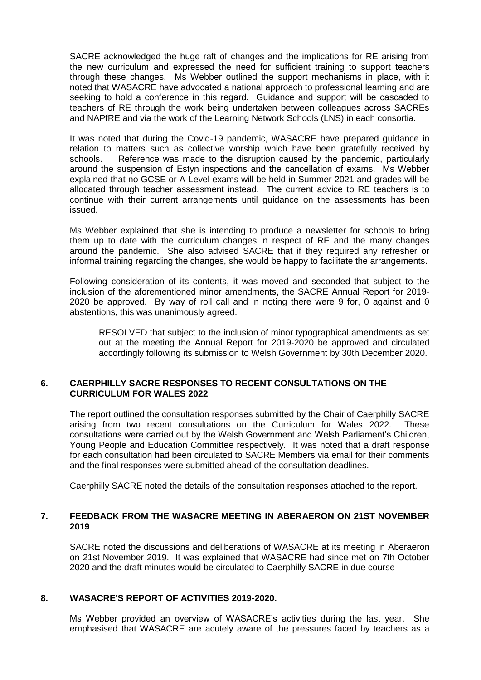SACRE acknowledged the huge raft of changes and the implications for RE arising from the new curriculum and expressed the need for sufficient training to support teachers through these changes. Ms Webber outlined the support mechanisms in place, with it noted that WASACRE have advocated a national approach to professional learning and are seeking to hold a conference in this regard. Guidance and support will be cascaded to teachers of RE through the work being undertaken between colleagues across SACREs and NAPfRE and via the work of the Learning Network Schools (LNS) in each consortia.

It was noted that during the Covid-19 pandemic, WASACRE have prepared guidance in relation to matters such as collective worship which have been gratefully received by schools. Reference was made to the disruption caused by the pandemic, particularly around the suspension of Estyn inspections and the cancellation of exams. Ms Webber explained that no GCSE or A-Level exams will be held in Summer 2021 and grades will be allocated through teacher assessment instead. The current advice to RE teachers is to continue with their current arrangements until guidance on the assessments has been issued.

Ms Webber explained that she is intending to produce a newsletter for schools to bring them up to date with the curriculum changes in respect of RE and the many changes around the pandemic. She also advised SACRE that if they required any refresher or informal training regarding the changes, she would be happy to facilitate the arrangements.

Following consideration of its contents, it was moved and seconded that subject to the inclusion of the aforementioned minor amendments, the SACRE Annual Report for 2019- 2020 be approved. By way of roll call and in noting there were 9 for, 0 against and 0 abstentions, this was unanimously agreed.

RESOLVED that subject to the inclusion of minor typographical amendments as set out at the meeting the Annual Report for 2019-2020 be approved and circulated accordingly following its submission to Welsh Government by 30th December 2020.

#### **6. CAERPHILLY SACRE RESPONSES TO RECENT CONSULTATIONS ON THE CURRICULUM FOR WALES 2022**

The report outlined the consultation responses submitted by the Chair of Caerphilly SACRE arising from two recent consultations on the Curriculum for Wales 2022. These consultations were carried out by the Welsh Government and Welsh Parliament's Children, Young People and Education Committee respectively. It was noted that a draft response for each consultation had been circulated to SACRE Members via email for their comments and the final responses were submitted ahead of the consultation deadlines.

Caerphilly SACRE noted the details of the consultation responses attached to the report.

# **7. FEEDBACK FROM THE WASACRE MEETING IN ABERAERON ON 21ST NOVEMBER 2019**

SACRE noted the discussions and deliberations of WASACRE at its meeting in Aberaeron on 21st November 2019. It was explained that WASACRE had since met on 7th October 2020 and the draft minutes would be circulated to Caerphilly SACRE in due course

# **8. WASACRE'S REPORT OF ACTIVITIES 2019-2020.**

Ms Webber provided an overview of WASACRE's activities during the last year. She emphasised that WASACRE are acutely aware of the pressures faced by teachers as a